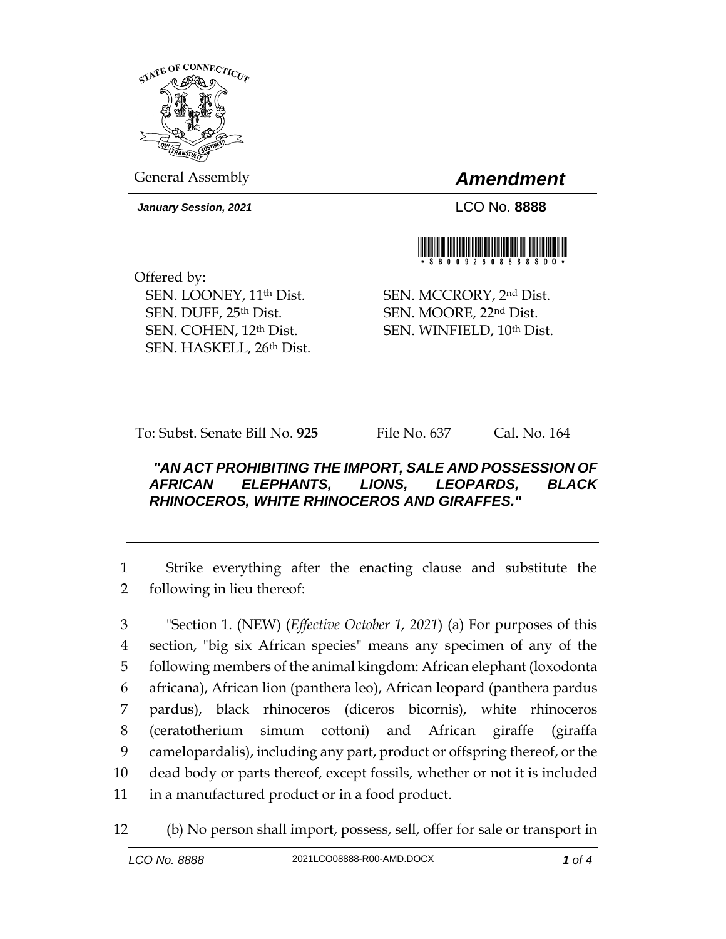

General Assembly *Amendment*

*January Session, 2021* LCO No. **8888**



Offered by: SEN. LOONEY, 11th Dist. SEN. DUFF, 25th Dist. SEN. COHEN, 12th Dist. SEN. HASKELL, 26th Dist.

SEN. MCCRORY, 2nd Dist. SEN. MOORE, 22nd Dist. SEN. WINFIELD, 10th Dist.

To: Subst. Senate Bill No. **925** File No. 637 Cal. No. 164

## *"AN ACT PROHIBITING THE IMPORT, SALE AND POSSESSION OF AFRICAN ELEPHANTS, LIONS, LEOPARDS, BLACK RHINOCEROS, WHITE RHINOCEROS AND GIRAFFES."*

1 Strike everything after the enacting clause and substitute the 2 following in lieu thereof:

 "Section 1. (NEW) (*Effective October 1, 2021*) (a) For purposes of this section, "big six African species" means any specimen of any of the following members of the animal kingdom: African elephant (loxodonta africana), African lion (panthera leo), African leopard (panthera pardus pardus), black rhinoceros (diceros bicornis), white rhinoceros (ceratotherium simum cottoni) and African giraffe (giraffa camelopardalis), including any part, product or offspring thereof, or the dead body or parts thereof, except fossils, whether or not it is included in a manufactured product or in a food product.

12 (b) No person shall import, possess, sell, offer for sale or transport in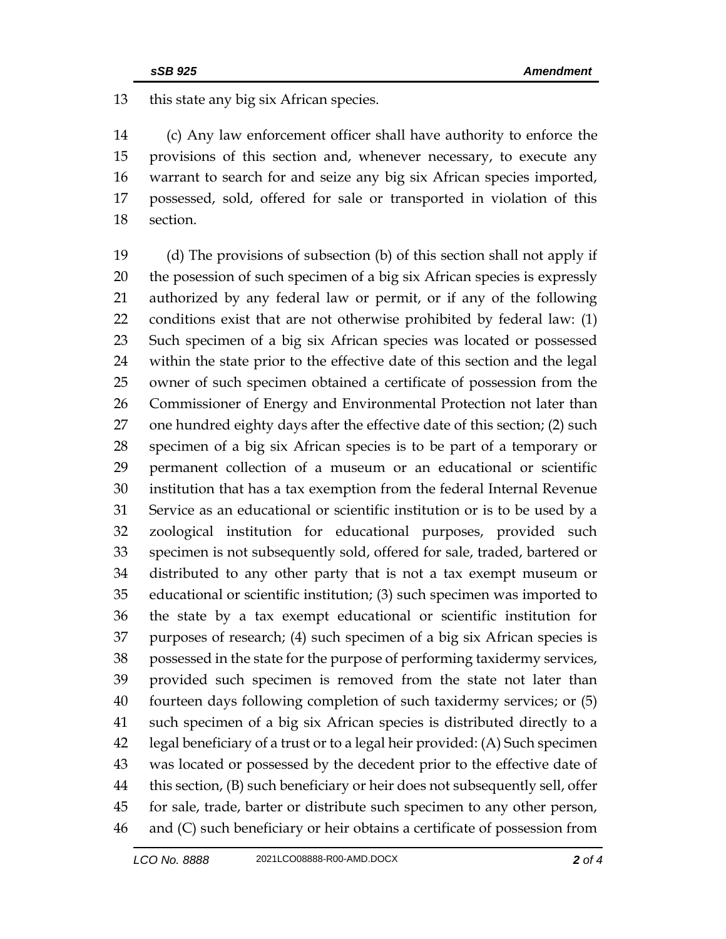this state any big six African species.

 (c) Any law enforcement officer shall have authority to enforce the provisions of this section and, whenever necessary, to execute any warrant to search for and seize any big six African species imported, possessed, sold, offered for sale or transported in violation of this section.

 (d) The provisions of subsection (b) of this section shall not apply if the posession of such specimen of a big six African species is expressly authorized by any federal law or permit, or if any of the following conditions exist that are not otherwise prohibited by federal law: (1) Such specimen of a big six African species was located or possessed within the state prior to the effective date of this section and the legal owner of such specimen obtained a certificate of possession from the Commissioner of Energy and Environmental Protection not later than one hundred eighty days after the effective date of this section; (2) such specimen of a big six African species is to be part of a temporary or permanent collection of a museum or an educational or scientific institution that has a tax exemption from the federal Internal Revenue Service as an educational or scientific institution or is to be used by a zoological institution for educational purposes, provided such specimen is not subsequently sold, offered for sale, traded, bartered or distributed to any other party that is not a tax exempt museum or educational or scientific institution; (3) such specimen was imported to the state by a tax exempt educational or scientific institution for purposes of research; (4) such specimen of a big six African species is possessed in the state for the purpose of performing taxidermy services, provided such specimen is removed from the state not later than fourteen days following completion of such taxidermy services; or (5) such specimen of a big six African species is distributed directly to a legal beneficiary of a trust or to a legal heir provided: (A) Such specimen was located or possessed by the decedent prior to the effective date of this section, (B) such beneficiary or heir does not subsequently sell, offer for sale, trade, barter or distribute such specimen to any other person, and (C) such beneficiary or heir obtains a certificate of possession from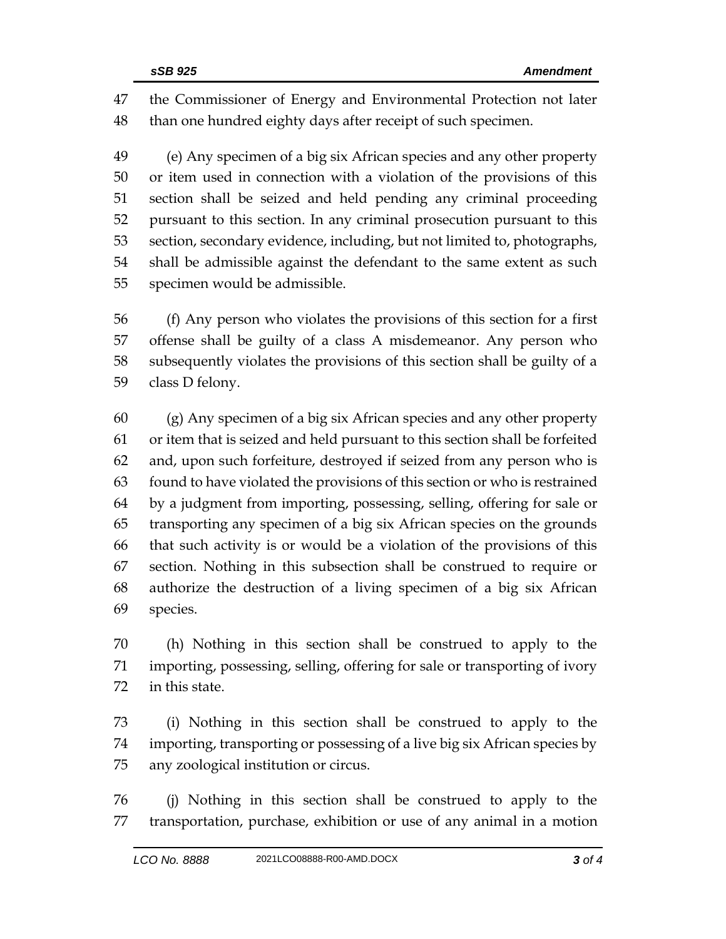the Commissioner of Energy and Environmental Protection not later than one hundred eighty days after receipt of such specimen.

 (e) Any specimen of a big six African species and any other property or item used in connection with a violation of the provisions of this section shall be seized and held pending any criminal proceeding pursuant to this section. In any criminal prosecution pursuant to this section, secondary evidence, including, but not limited to, photographs, shall be admissible against the defendant to the same extent as such specimen would be admissible.

 (f) Any person who violates the provisions of this section for a first offense shall be guilty of a class A misdemeanor. Any person who subsequently violates the provisions of this section shall be guilty of a class D felony.

 (g) Any specimen of a big six African species and any other property or item that is seized and held pursuant to this section shall be forfeited and, upon such forfeiture, destroyed if seized from any person who is found to have violated the provisions of this section or who is restrained by a judgment from importing, possessing, selling, offering for sale or transporting any specimen of a big six African species on the grounds that such activity is or would be a violation of the provisions of this section. Nothing in this subsection shall be construed to require or authorize the destruction of a living specimen of a big six African species.

 (h) Nothing in this section shall be construed to apply to the importing, possessing, selling, offering for sale or transporting of ivory in this state.

 (i) Nothing in this section shall be construed to apply to the importing, transporting or possessing of a live big six African species by any zoological institution or circus.

 (j) Nothing in this section shall be construed to apply to the transportation, purchase, exhibition or use of any animal in a motion